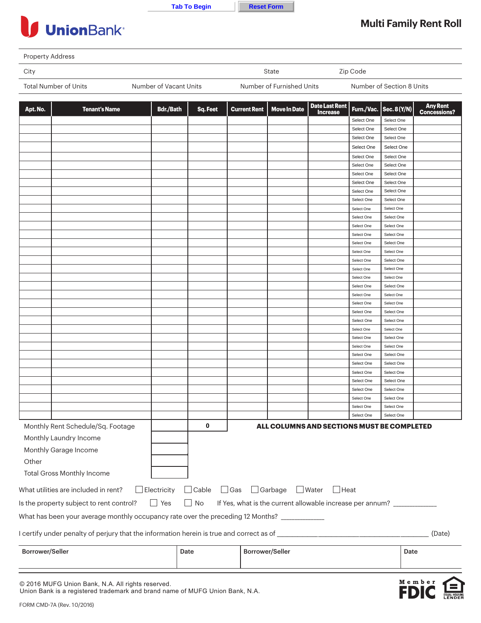|  | ıю | o | aır |
|--|----|---|-----|
|  |    |   |     |



## **UnionBank**<sup>®</sup>

## **Multi Family Rent Roll**

 $M$  e m b e FD

| City                  |                        | State                     | Zip Code                  |
|-----------------------|------------------------|---------------------------|---------------------------|
| Total Number of Units | Number of Vacant Units | Number of Furnished Units | Number of Section 8 Units |

| Apt. No.                                                                                                                                      | <b>Tenant's Name</b>              | <b>Bdr./Bath</b> | Sq. Feet | <b>Current Rent</b>    | <b>Move In Date</b> | <b>Date Last Rent</b><br><b>Increase</b>   | Furn./Vac. | Sec. 8 (Y/N) | <b>Any Rent</b><br><b>Concessions?</b> |
|-----------------------------------------------------------------------------------------------------------------------------------------------|-----------------------------------|------------------|----------|------------------------|---------------------|--------------------------------------------|------------|--------------|----------------------------------------|
|                                                                                                                                               |                                   |                  |          |                        |                     |                                            | Select One | Select One   |                                        |
|                                                                                                                                               |                                   |                  |          |                        |                     |                                            | Select One | Select One   |                                        |
|                                                                                                                                               |                                   |                  |          |                        |                     |                                            | Select One | Select One   |                                        |
|                                                                                                                                               |                                   |                  |          |                        |                     |                                            | Select One | Select One   |                                        |
|                                                                                                                                               |                                   |                  |          |                        |                     |                                            | Select One | Select One   |                                        |
|                                                                                                                                               |                                   |                  |          |                        |                     |                                            | Select One | Select One   |                                        |
|                                                                                                                                               |                                   |                  |          |                        |                     |                                            | Select One | Select One   |                                        |
|                                                                                                                                               |                                   |                  |          |                        |                     |                                            | Select One | Select One   |                                        |
|                                                                                                                                               |                                   |                  |          |                        |                     |                                            | Select One | Select One   |                                        |
|                                                                                                                                               |                                   |                  |          |                        |                     |                                            | Select One | Select One   |                                        |
|                                                                                                                                               |                                   |                  |          |                        |                     |                                            | Select One | Select One   |                                        |
|                                                                                                                                               |                                   |                  |          |                        |                     |                                            | Select One | Select One   |                                        |
|                                                                                                                                               |                                   |                  |          |                        |                     |                                            | Select One | Select One   |                                        |
|                                                                                                                                               |                                   |                  |          |                        |                     |                                            | Select One | Select One   |                                        |
|                                                                                                                                               |                                   |                  |          |                        |                     |                                            | Select One | Select One   |                                        |
|                                                                                                                                               |                                   |                  |          |                        |                     |                                            | Select One | Select One   |                                        |
|                                                                                                                                               |                                   |                  |          |                        |                     |                                            | Select One | Select One   |                                        |
|                                                                                                                                               |                                   |                  |          |                        |                     |                                            | Select One | Select One   |                                        |
|                                                                                                                                               |                                   |                  |          |                        |                     |                                            | Select One | Select One   |                                        |
|                                                                                                                                               |                                   |                  |          |                        |                     |                                            | Select One | Select One   |                                        |
|                                                                                                                                               |                                   |                  |          |                        |                     |                                            | Select One | Select One   |                                        |
|                                                                                                                                               |                                   |                  |          |                        |                     |                                            | Select One | Select One   |                                        |
|                                                                                                                                               |                                   |                  |          |                        |                     |                                            | Select One | Select One   |                                        |
|                                                                                                                                               |                                   |                  |          |                        |                     |                                            | Select One | Select One   |                                        |
|                                                                                                                                               |                                   |                  |          |                        |                     |                                            | Select One | Select One   |                                        |
|                                                                                                                                               |                                   |                  |          |                        |                     |                                            | Select One | Select One   |                                        |
|                                                                                                                                               |                                   |                  |          |                        |                     |                                            | Select One | Select One   |                                        |
|                                                                                                                                               |                                   |                  |          |                        |                     |                                            | Select One | Select One   |                                        |
|                                                                                                                                               |                                   |                  |          |                        |                     |                                            | Select One | Select One   |                                        |
|                                                                                                                                               |                                   |                  |          |                        |                     |                                            | Select One | Select One   |                                        |
|                                                                                                                                               |                                   |                  |          |                        |                     |                                            | Select One | Select One   |                                        |
|                                                                                                                                               |                                   |                  |          |                        |                     |                                            | Select One | Select One   |                                        |
|                                                                                                                                               |                                   |                  |          |                        |                     |                                            | Select One | Select One   |                                        |
|                                                                                                                                               |                                   |                  |          |                        |                     |                                            | Select One | Select One   |                                        |
|                                                                                                                                               |                                   |                  |          |                        |                     |                                            | Select One | Select One   |                                        |
|                                                                                                                                               | Monthly Rent Schedule/Sq. Footage |                  | 0        |                        |                     | ALL COLUMNS AND SECTIONS MUST BE COMPLETED |            |              |                                        |
|                                                                                                                                               | Monthly Laundry Income            |                  |          |                        |                     |                                            |            |              |                                        |
|                                                                                                                                               | Monthly Garage Income             |                  |          |                        |                     |                                            |            |              |                                        |
|                                                                                                                                               |                                   |                  |          |                        |                     |                                            |            |              |                                        |
| Other                                                                                                                                         |                                   |                  |          |                        |                     |                                            |            |              |                                        |
|                                                                                                                                               | <b>Total Gross Monthly Income</b> |                  |          |                        |                     |                                            |            |              |                                        |
| What utilities are included in rent?<br>$\Box$ Electricity<br>$\Box$ Cable<br>$\Box$ Gas<br>$\Box$ Garbage<br>$\Box$ Water<br>$\Box$ Heat     |                                   |                  |          |                        |                     |                                            |            |              |                                        |
| $\Box$ No<br>Is the property subject to rent control?<br>$\Box$ Yes<br>If Yes, what is the current allowable increase per annum? ____________ |                                   |                  |          |                        |                     |                                            |            |              |                                        |
| What has been your average monthly occupancy rate over the preceding 12 Months? ____________                                                  |                                   |                  |          |                        |                     |                                            |            |              |                                        |
| I certify under penalty of perjury that the information herein is true and correct as of <b>constant of the constant</b><br>(Date)            |                                   |                  |          |                        |                     |                                            |            |              |                                        |
| <b>Borrower/Seller</b>                                                                                                                        |                                   | Date             |          | <b>Borrower/Seller</b> |                     |                                            |            | Date         |                                        |
|                                                                                                                                               |                                   |                  |          |                        |                     |                                            |            |              |                                        |

© 2016 MUFG Union Bank, N.A. All rights reserved.

Union Bank is a registered trademark and brand name of MUFG Union Bank, N.A.